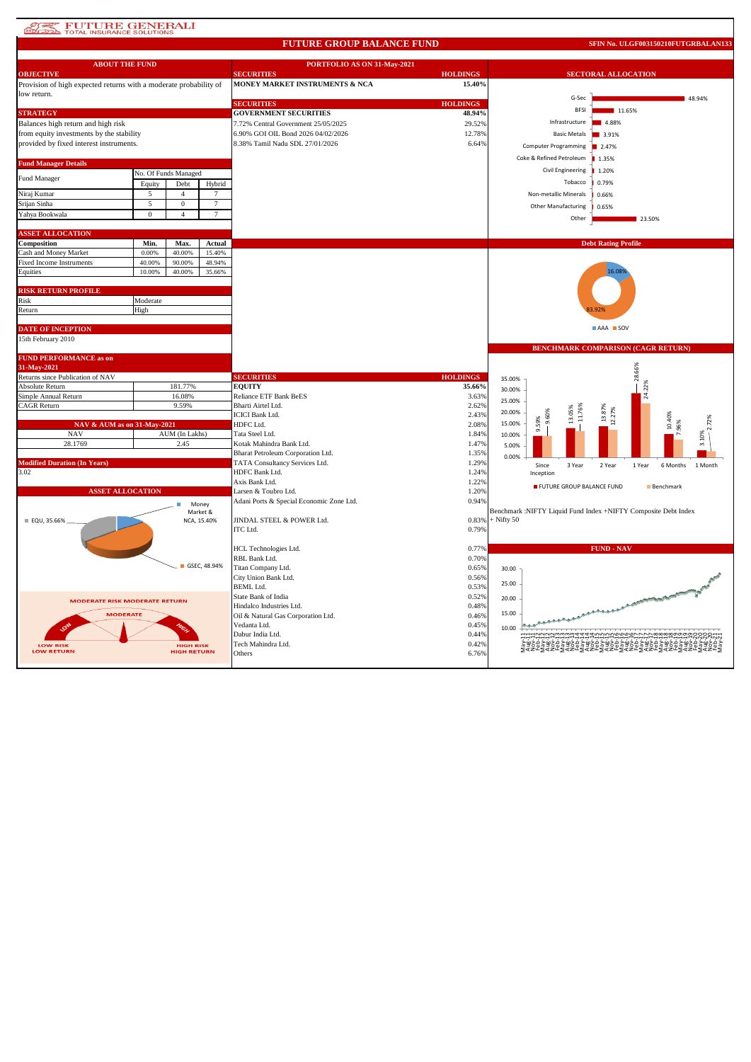## **ATES FUTURE GENERALI**

#### **FUTURE GROUP BALANCE FUND**

**SFIN No. ULGF003150210FUTGRBALAN133**

| <b>ABOUT THE FUND</b>                                             |                      |                    |                   | PORTFOLIO AS ON 31-May-2021              |                 |              |                              |                                                                |                                              |  |
|-------------------------------------------------------------------|----------------------|--------------------|-------------------|------------------------------------------|-----------------|--------------|------------------------------|----------------------------------------------------------------|----------------------------------------------|--|
| <b>OBJECTIVE</b>                                                  |                      |                    |                   | <b>SECURITIES</b>                        | <b>HOLDINGS</b> |              | <b>SECTORAL ALLOCATION</b>   |                                                                |                                              |  |
| Provision of high expected returns with a moderate probability of |                      |                    |                   | MONEY MARKET INSTRUMENTS & NCA           | 15.40%          |              |                              |                                                                |                                              |  |
| low return.                                                       |                      |                    |                   |                                          |                 |              | G-Sec                        |                                                                | 48.94%                                       |  |
|                                                                   |                      |                    |                   | <b>SECURITIES</b>                        | <b>HOLDINGS</b> |              | <b>BFSI</b>                  | 11.65%                                                         |                                              |  |
| <b>STRATEGY</b>                                                   |                      |                    |                   | <b>GOVERNMENT SECURITIES</b>             | 48.94%          |              |                              |                                                                |                                              |  |
| Balances high return and high risk                                |                      |                    |                   | 7.72% Central Government 25/05/2025      | 29.52%          |              | Infrastructure               | 4.88%                                                          |                                              |  |
| from equity investments by the stability                          |                      |                    |                   | 6.90% GOI OIL Bond 2026 04/02/2026       | 12.78%          |              | <b>Basic Metals</b>          | 3.91%                                                          |                                              |  |
| provided by fixed interest instruments.                           |                      |                    |                   | 8.38% Tamil Nadu SDL 27/01/2026          | 6.64%           |              | Computer Programming         | 2.47%                                                          |                                              |  |
|                                                                   |                      |                    |                   |                                          |                 |              | Coke & Refined Petroleum     | 1.35%                                                          |                                              |  |
| <b>Fund Manager Details</b>                                       |                      |                    |                   |                                          |                 |              |                              |                                                                |                                              |  |
| Fund Manager                                                      | No. Of Funds Managed |                    |                   |                                          |                 |              | Civil Engineering            | 1.20%                                                          |                                              |  |
|                                                                   | Equity               | Debt               | Hybrid            |                                          |                 |              | Tobacco                      | 0.79%                                                          |                                              |  |
| Niraj Kumar                                                       | 5                    | $\overline{4}$     | $7\phantom{.0}$   |                                          |                 |              | Non-metallic Minerals        | 0.66%                                                          |                                              |  |
| Srijan Sinha                                                      | 5                    | $\mathbf{0}$       | 7                 |                                          |                 |              | Other Manufacturing          | 0.65%                                                          |                                              |  |
| Yahya Bookwala                                                    | $\mathbf{0}$         | $\overline{4}$     | $\tau$            |                                          |                 |              |                              |                                                                |                                              |  |
|                                                                   |                      |                    |                   |                                          |                 |              | Other                        | 23.50%                                                         |                                              |  |
| <b>ASSET ALLOCATION</b>                                           |                      |                    |                   |                                          |                 |              |                              |                                                                |                                              |  |
| Composition                                                       | Min.                 | Max.               | Actual            |                                          |                 |              |                              | <b>Debt Rating Profile</b>                                     |                                              |  |
| Cash and Money Market                                             | 0.00%                | 40.00%             | 15.40%            |                                          |                 |              |                              |                                                                |                                              |  |
| <b>Fixed Income Instruments</b>                                   | 40.00%               | 90.00%             | 48.94%            |                                          |                 |              |                              |                                                                |                                              |  |
| Equities                                                          | 10.00%               | 40,00%             | 35.66%            |                                          |                 |              |                              | 16.089                                                         |                                              |  |
|                                                                   |                      |                    |                   |                                          |                 |              |                              |                                                                |                                              |  |
| <b>RISK RETURN PROFILE</b>                                        |                      |                    |                   |                                          |                 |              |                              |                                                                |                                              |  |
| Risk                                                              | Moderate             |                    |                   |                                          |                 |              |                              |                                                                |                                              |  |
| Return                                                            | High                 |                    |                   |                                          |                 |              |                              |                                                                |                                              |  |
|                                                                   |                      |                    |                   |                                          |                 |              |                              |                                                                |                                              |  |
| <b>DATE OF INCEPTION</b>                                          |                      |                    |                   |                                          |                 |              |                              | AAA SOV                                                        |                                              |  |
| 15th February 2010                                                |                      |                    |                   |                                          |                 |              |                              |                                                                |                                              |  |
|                                                                   |                      |                    |                   |                                          |                 |              |                              | <b>BENCHMARK COMPARISON (CAGR RETURN)</b>                      |                                              |  |
| <b>FUND PERFORMANCE as on</b>                                     |                      |                    |                   |                                          |                 |              |                              |                                                                |                                              |  |
| 31-May-2021                                                       |                      |                    |                   |                                          |                 |              |                              |                                                                |                                              |  |
|                                                                   |                      |                    |                   |                                          |                 |              |                              |                                                                |                                              |  |
| Returns since Publication of NAV                                  |                      |                    |                   | <b>SECURITIES</b>                        | <b>HOLDINGS</b> | 35.00%       |                              | 28.66%                                                         |                                              |  |
| Absolute Return                                                   |                      | 181.77%            |                   | <b>EQUITY</b>                            | 35.66%          |              |                              |                                                                |                                              |  |
| Simple Annual Return                                              |                      | 16.08%             |                   | Reliance ETF Bank BeES                   | 3.63%           | 30.00%       |                              | 22%                                                            |                                              |  |
| <b>CAGR Return</b>                                                |                      | 9.59%              |                   | Bharti Airtel Ltd.                       | 2.62%           | 25.00%       |                              |                                                                |                                              |  |
|                                                                   |                      |                    |                   | <b>ICICI Bank Ltd.</b>                   | 2.43%           | 20.00%       |                              | 879                                                            |                                              |  |
| NAV & AUM as on 31-May-2021                                       |                      |                    |                   | HDFC Ltd.                                | 2.08%           | 15.00%       |                              |                                                                |                                              |  |
| <b>NAV</b>                                                        |                      | AUM (In Lakhs)     |                   | Tata Steel Ltd.                          | 1.84%           | 10.00%       | 9.59%                        |                                                                | 10.40%                                       |  |
| 28.1769                                                           |                      | 2.45               |                   | Kotak Mahindra Bank Ltd.                 | 1.47%           | 5.00%        |                              |                                                                |                                              |  |
|                                                                   |                      |                    |                   | Bharat Petroleum Corporation Ltd.        | 1.35%           |              |                              |                                                                |                                              |  |
| <b>Modified Duration (In Years)</b>                               |                      |                    |                   | TATA Consultancy Services Ltd.           | 1.29%           | 0.00%        |                              |                                                                |                                              |  |
| 3.02                                                              |                      |                    |                   | HDFC Bank Ltd.                           | 1.24%           |              | Since<br>3 Year<br>Inception | 2 Year<br>1 Year                                               | 6 Months<br>1 Month                          |  |
|                                                                   |                      |                    |                   | Axis Bank Ltd.                           | 1.22%           |              |                              |                                                                |                                              |  |
| <b>ASSET ALLOCATION</b>                                           |                      |                    |                   | Larsen & Toubro Ltd.                     | 1.20%           |              | FUTURE GROUP BALANCE FUND    |                                                                | Benchmark                                    |  |
|                                                                   |                      |                    |                   | Adani Ports & Special Economic Zone Ltd. | 0.94%           |              |                              |                                                                |                                              |  |
|                                                                   |                      |                    | Money<br>Market & |                                          |                 |              |                              | Benchmark :NIFTY Liquid Fund Index +NIFTY Composite Debt Index |                                              |  |
| EQU, 35.66%                                                       |                      |                    | NCA, 15.40%       | JINDAL STEEL & POWER Ltd.                | 0.83%           | $+$ Nifty 50 |                              |                                                                |                                              |  |
|                                                                   |                      |                    |                   | ITC Ltd.                                 | 0.79%           |              |                              |                                                                |                                              |  |
|                                                                   |                      |                    |                   |                                          |                 |              |                              |                                                                |                                              |  |
|                                                                   |                      |                    |                   | HCL Technologies Ltd.                    | 0.77%           |              |                              | <b>FUND - NAV</b>                                              |                                              |  |
|                                                                   |                      |                    |                   | RBL Bank Ltd.                            | 0.70%           |              |                              |                                                                |                                              |  |
|                                                                   |                      |                    | GSEC, 48.94%      | Titan Company Ltd.                       | 0.65%           | 30.00        |                              |                                                                |                                              |  |
|                                                                   |                      |                    |                   | City Union Bank Ltd.                     | 0.56%           |              |                              |                                                                |                                              |  |
|                                                                   |                      |                    |                   | BEML Ltd.                                | 0.53%           | 25.00        |                              |                                                                |                                              |  |
| <b>MODERATE RISK MODERATE RETURN</b>                              |                      |                    |                   | State Bank of India                      | 0.52%           | 20.00        |                              |                                                                |                                              |  |
|                                                                   |                      |                    |                   | Hindalco Industries Ltd.                 | 0.48%           |              |                              |                                                                | A - CONTENTING POST POST OF CHINA CONTENTING |  |
| <b>MODERATE</b>                                                   |                      |                    |                   | Oil & Natural Gas Corporation Ltd.       | 0.46%           | 15.00        |                              | مممني                                                          |                                              |  |
|                                                                   |                      |                    |                   | Vedanta Ltd.                             | 0.45%           | 10.00        |                              |                                                                |                                              |  |
|                                                                   |                      |                    |                   | Dabur India Ltd.                         | 0.44%           |              |                              |                                                                |                                              |  |
| <b>LOW RISK</b>                                                   |                      | <b>HIGH RISK</b>   |                   | Tech Mahindra Ltd.                       | 0.42%           |              |                              |                                                                |                                              |  |
| <b>LOW RETURN</b>                                                 |                      | <b>HIGH RETURN</b> |                   | Others                                   | 6.76%           |              |                              | Z2LGZ2LGZ2LGZ2LGZ2LGZ2LGZ2LGZ2LGZ2L                            |                                              |  |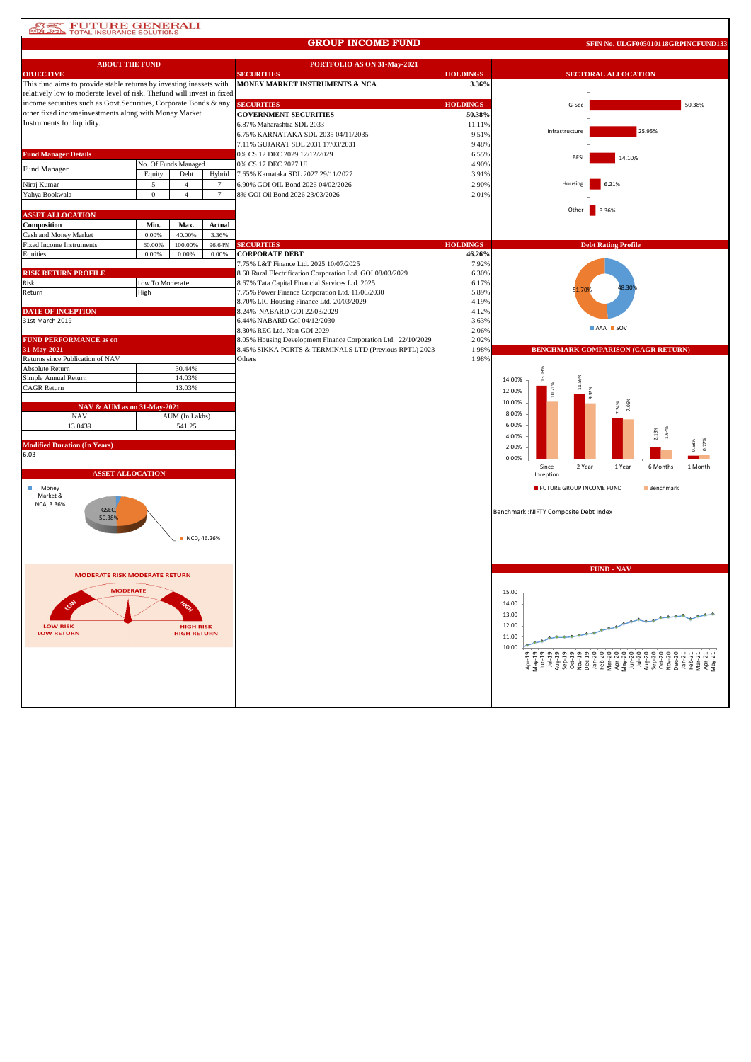# **AT PUTURE GENERALI**

#### **GROUP INCOME FUND**

**SFIN No. ULGF005010118GRPINCFUND133**

| <b>ABOUT THE FUND</b>                                                  |                 |                      |        | PORTFOLIO AS ON 31-May-2021                                   |                 |                                        |                                                                                                                                                                                                                                                                                         |
|------------------------------------------------------------------------|-----------------|----------------------|--------|---------------------------------------------------------------|-----------------|----------------------------------------|-----------------------------------------------------------------------------------------------------------------------------------------------------------------------------------------------------------------------------------------------------------------------------------------|
| <b>OBJECTIVE</b>                                                       |                 |                      |        | <b>SECURITIES</b>                                             | <b>HOLDINGS</b> |                                        | <b>SECTORAL ALLOCATION</b>                                                                                                                                                                                                                                                              |
| This fund aims to provide stable returns by investing inassets with    |                 |                      |        | MONEY MARKET INSTRUMENTS & NCA                                | 3.36%           |                                        |                                                                                                                                                                                                                                                                                         |
| relatively low to moderate level of risk. Thefund will invest in fixed |                 |                      |        |                                                               |                 |                                        |                                                                                                                                                                                                                                                                                         |
| income securities such as Govt. Securities, Corporate Bonds & any      |                 |                      |        | <b>SECURITIES</b>                                             | <b>HOLDINGS</b> | G-Sec                                  | 50.38%                                                                                                                                                                                                                                                                                  |
| other fixed incomeinvestments along with Money Market                  |                 |                      |        | <b>GOVERNMENT SECURITIES</b>                                  | 50.38%          |                                        |                                                                                                                                                                                                                                                                                         |
| Instruments for liquidity.                                             |                 |                      |        | 6.87% Maharashtra SDL 2033                                    | 11.11%          |                                        |                                                                                                                                                                                                                                                                                         |
|                                                                        |                 |                      |        | 6.75% KARNATAKA SDL 2035 04/11/2035                           | 9.51%           | Infrastructure                         | 25.95%                                                                                                                                                                                                                                                                                  |
|                                                                        |                 |                      |        | 7.11% GUJARAT SDL 2031 17/03/2031                             | 9.48%           |                                        |                                                                                                                                                                                                                                                                                         |
| <b>Fund Manager Details</b>                                            |                 |                      |        | 0% CS 12 DEC 2029 12/12/2029                                  | 6.55%           | <b>BFSI</b>                            | 14.10%                                                                                                                                                                                                                                                                                  |
| Fund Manager                                                           |                 | No. Of Funds Managed |        | 0% CS 17 DEC 2027 UL                                          | 4.90%           |                                        |                                                                                                                                                                                                                                                                                         |
|                                                                        | Equity          | Debt                 | Hybrid | 7.65% Karnataka SDL 2027 29/11/2027                           | 3.91%           |                                        |                                                                                                                                                                                                                                                                                         |
| Niraj Kumar                                                            | 5               | $\mathbf{A}$         | 7      | 6.90% GOI OIL Bond 2026 04/02/2026                            | 2.90%           | Housing                                | 6.21%                                                                                                                                                                                                                                                                                   |
| Yahya Bookwala                                                         | $\mathbf{0}$    | $\overline{4}$       | $\tau$ | 8% GOI Oil Bond 2026 23/03/2026                               | 2.01%           |                                        |                                                                                                                                                                                                                                                                                         |
|                                                                        |                 |                      |        |                                                               |                 |                                        |                                                                                                                                                                                                                                                                                         |
| <b>ASSET ALLOCATION</b>                                                |                 |                      |        |                                                               |                 | Other                                  | 3.36%                                                                                                                                                                                                                                                                                   |
| Composition                                                            | Min.            | Max.                 | Actual |                                                               |                 |                                        |                                                                                                                                                                                                                                                                                         |
| Cash and Money Market                                                  | 0.00%           | 40.00%               | 3.36%  |                                                               |                 |                                        |                                                                                                                                                                                                                                                                                         |
| <b>Fixed Income Instruments</b>                                        | 60.00%          | 100.00%              | 96.64% | <b>SECURITIES</b>                                             | <b>HOLDINGS</b> |                                        | <b>Debt Rating Profile</b>                                                                                                                                                                                                                                                              |
| Equities                                                               | 0.00%           | 0.00%                | 0.00%  | <b>CORPORATE DEBT</b>                                         | 46.26%          |                                        |                                                                                                                                                                                                                                                                                         |
|                                                                        |                 |                      |        | 7.75% L&T Finance Ltd. 2025 10/07/2025                        | 7.92%           |                                        |                                                                                                                                                                                                                                                                                         |
| <b>RISK RETURN PROFILE</b>                                             |                 |                      |        | 8.60 Rural Electrification Corporation Ltd. GOI 08/03/2029    | 6.30%           |                                        |                                                                                                                                                                                                                                                                                         |
| Risk                                                                   | Low To Moderate |                      |        | 8.67% Tata Capital Financial Services Ltd. 2025               | 6.17%           |                                        |                                                                                                                                                                                                                                                                                         |
| Return                                                                 | High            |                      |        | 7.75% Power Finance Corporation Ltd. 11/06/2030               | 5.89%           |                                        | 8.30                                                                                                                                                                                                                                                                                    |
|                                                                        |                 |                      |        | 8.70% LIC Housing Finance Ltd. 20/03/2029                     | 4.19%           |                                        |                                                                                                                                                                                                                                                                                         |
| <b>DATE OF INCEPTION</b>                                               |                 |                      |        | 8.24% NABARD GOI 22/03/2029                                   | 4.12%           |                                        |                                                                                                                                                                                                                                                                                         |
| 31st March 2019                                                        |                 |                      |        | 6.44% NABARD GoI 04/12/2030                                   | 3.63%           |                                        |                                                                                                                                                                                                                                                                                         |
|                                                                        |                 |                      |        | 8.30% REC Ltd. Non GOI 2029                                   | 2.06%           |                                        | AAA SOV                                                                                                                                                                                                                                                                                 |
| <b>FUND PERFORMANCE as on</b>                                          |                 |                      |        | 8.05% Housing Development Finance Corporation Ltd. 22/10/2029 | 2.02%           |                                        |                                                                                                                                                                                                                                                                                         |
| 31-May-2021                                                            |                 |                      |        | 8.45% SIKKA PORTS & TERMINALS LTD (Previous RPTL) 2023        | 1.98%           |                                        | BENCHMARK COMPARISON (CAGR RETURN)                                                                                                                                                                                                                                                      |
| Returns since Publication of NAV                                       |                 |                      |        | Others                                                        | 1.98%           |                                        |                                                                                                                                                                                                                                                                                         |
| Absolute Return                                                        |                 | 30.44%               |        |                                                               |                 | 13.03%                                 |                                                                                                                                                                                                                                                                                         |
| Simple Annual Return                                                   |                 | 14.03%               |        |                                                               |                 | 14.00%                                 |                                                                                                                                                                                                                                                                                         |
| CAGR Return                                                            |                 | 13.03%               |        |                                                               |                 | 12.00%                                 |                                                                                                                                                                                                                                                                                         |
|                                                                        |                 |                      |        |                                                               |                 | 10.00%                                 |                                                                                                                                                                                                                                                                                         |
| NAV & AUM as on 31-May-2021                                            |                 |                      |        |                                                               |                 | 8.00%                                  |                                                                                                                                                                                                                                                                                         |
| <b>NAV</b>                                                             |                 | AUM (In Lakhs)       |        |                                                               |                 |                                        |                                                                                                                                                                                                                                                                                         |
| 13.0439                                                                |                 | 541.25               |        |                                                               |                 | 6.00%                                  |                                                                                                                                                                                                                                                                                         |
|                                                                        |                 |                      |        |                                                               |                 | 4.00%                                  |                                                                                                                                                                                                                                                                                         |
| <b>Modified Duration (In Years)</b>                                    |                 |                      |        |                                                               |                 | 2.00%                                  |                                                                                                                                                                                                                                                                                         |
| 6.03                                                                   |                 |                      |        |                                                               |                 | 0.00%                                  |                                                                                                                                                                                                                                                                                         |
|                                                                        |                 |                      |        |                                                               |                 | Since<br>2 Year                        | 1 Year<br>6 Months<br>1 Month                                                                                                                                                                                                                                                           |
| <b>ASSET ALLOCATION</b>                                                |                 |                      |        |                                                               |                 | Inception                              |                                                                                                                                                                                                                                                                                         |
| Money                                                                  |                 |                      |        |                                                               |                 | FUTURE GROUP INCOME FUND               | Benchmark                                                                                                                                                                                                                                                                               |
| Market &                                                               |                 |                      |        |                                                               |                 |                                        |                                                                                                                                                                                                                                                                                         |
| NCA, 3.36%<br>GSEC,                                                    |                 |                      |        |                                                               |                 |                                        |                                                                                                                                                                                                                                                                                         |
| 50.38%                                                                 |                 |                      |        |                                                               |                 | Benchmark : NIFTY Composite Debt Index |                                                                                                                                                                                                                                                                                         |
|                                                                        |                 |                      |        |                                                               |                 |                                        |                                                                                                                                                                                                                                                                                         |
|                                                                        |                 | NCD, 46.26%          |        |                                                               |                 |                                        |                                                                                                                                                                                                                                                                                         |
|                                                                        |                 |                      |        |                                                               |                 |                                        |                                                                                                                                                                                                                                                                                         |
|                                                                        |                 |                      |        |                                                               |                 |                                        |                                                                                                                                                                                                                                                                                         |
|                                                                        |                 |                      |        |                                                               |                 |                                        | <b>FUND - NAV</b>                                                                                                                                                                                                                                                                       |
| <b>MODERATE RISK MODERATE RETURN</b>                                   |                 |                      |        |                                                               |                 |                                        |                                                                                                                                                                                                                                                                                         |
|                                                                        |                 |                      |        |                                                               |                 |                                        |                                                                                                                                                                                                                                                                                         |
| <b>MODERATE</b>                                                        |                 |                      |        |                                                               |                 | 15.00                                  |                                                                                                                                                                                                                                                                                         |
|                                                                        |                 |                      |        |                                                               |                 | 14.00                                  |                                                                                                                                                                                                                                                                                         |
|                                                                        |                 |                      |        |                                                               |                 | 13.00                                  |                                                                                                                                                                                                                                                                                         |
| <b>LOW RISK</b>                                                        |                 | <b>HIGH RISK</b>     |        |                                                               |                 | 12.00                                  |                                                                                                                                                                                                                                                                                         |
| <b>LOW RETURN</b>                                                      |                 | <b>HIGH RETURN</b>   |        |                                                               |                 | 11.00                                  |                                                                                                                                                                                                                                                                                         |
|                                                                        |                 |                      |        |                                                               |                 | 10.00                                  |                                                                                                                                                                                                                                                                                         |
|                                                                        |                 |                      |        |                                                               |                 |                                        |                                                                                                                                                                                                                                                                                         |
|                                                                        |                 |                      |        |                                                               |                 |                                        | $\begin{array}{l} {A_1}^{(2)}{A_1}^{(3)}{A_1}^{(3)}{A_1}^{(3)}{A_1}^{(3)}{A_1}^{(3)}{A_1}^{(3)}{A_1}^{(3)}{A_1}^{(3)}{A_1}^{(3)}{A_1}^{(3)}{A_1}^{(3)}{A_1}^{(3)}{A_1}^{(3)}{A_1}^{(3)}{A_1}^{(3)}{A_1}^{(3)}{A_1}^{(3)}{A_1}^{(3)}{A_1}^{(3)}{A_1}^{(3)}{A_1}^{(3)}{A_1}^{(3)}{A_1}^{$ |
|                                                                        |                 |                      |        |                                                               |                 |                                        |                                                                                                                                                                                                                                                                                         |
|                                                                        |                 |                      |        |                                                               |                 |                                        |                                                                                                                                                                                                                                                                                         |
|                                                                        |                 |                      |        |                                                               |                 |                                        |                                                                                                                                                                                                                                                                                         |
|                                                                        |                 |                      |        |                                                               |                 |                                        |                                                                                                                                                                                                                                                                                         |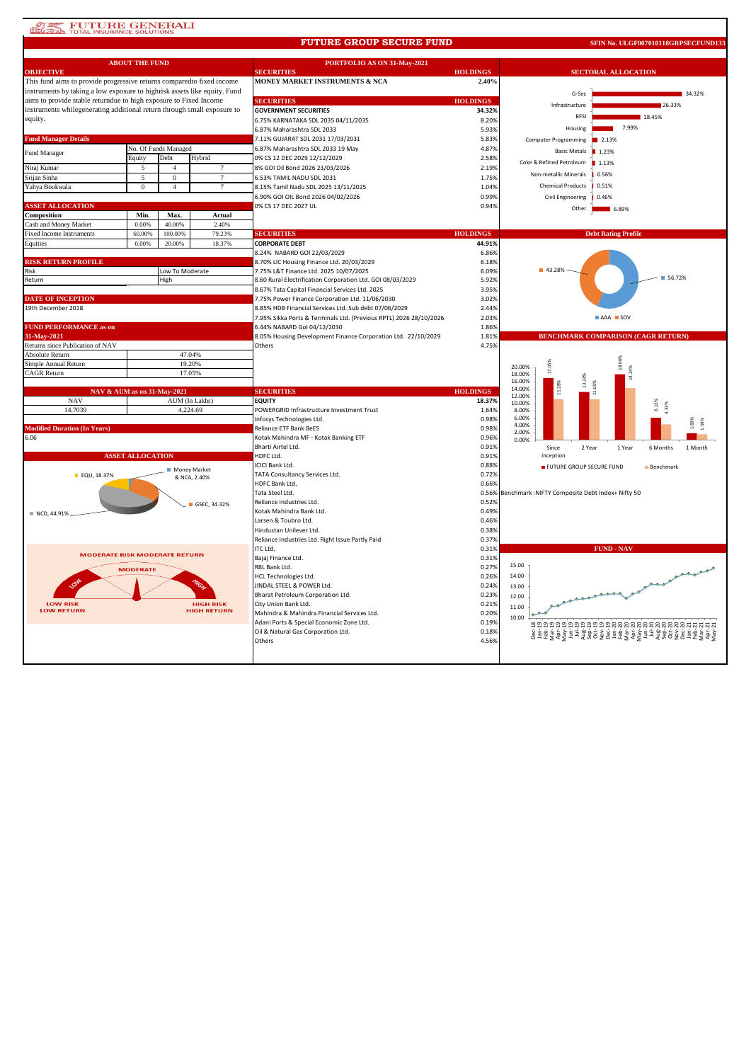## **ATE FUTURE GENERALI**

#### **FUTURE GROUP SECURE FUND**

**SFIN No. ULGF007010118GRPSECFUND133**

| <b>ABOUT THE FUND</b>                                                                                                                        |                          |                      |                    | PORTFOLIO AS ON 31-May-2021                                        |                 |                                                               |  |  |
|----------------------------------------------------------------------------------------------------------------------------------------------|--------------------------|----------------------|--------------------|--------------------------------------------------------------------|-----------------|---------------------------------------------------------------|--|--|
| <b>OBJECTIVE</b>                                                                                                                             |                          |                      |                    | <b>SECURITIES</b>                                                  | <b>HOLDINGS</b> | <b>SECTORAL ALLOCATION</b>                                    |  |  |
| This fund aims to provide progressive returns compared to fixed income                                                                       |                          |                      |                    | MONEY MARKET INSTRUMENTS & NCA                                     | 2.40%           |                                                               |  |  |
| instruments by taking a low exposure to highrisk assets like equity. Fund                                                                    |                          |                      |                    |                                                                    |                 | G-Sec<br>34.32%                                               |  |  |
| aims to provide stable returndue to high exposure to Fixed Income<br>instruments whilegenerating additional return through small exposure to |                          |                      |                    | <b>SECURITIES</b>                                                  | <b>HOLDINGS</b> | Infrastructure<br>26.33%                                      |  |  |
|                                                                                                                                              |                          |                      |                    | <b>GOVERNMENT SECURITIES</b>                                       | 34.32%          | 18.45%<br><b>BFS</b>                                          |  |  |
| equity.                                                                                                                                      |                          |                      |                    | 6.75% KARNATAKA SDL 2035 04/11/2035                                | 8.209           | 7.99%                                                         |  |  |
|                                                                                                                                              |                          |                      |                    | 6.87% Maharashtra SDL 2033                                         | 5.93%           | Housing                                                       |  |  |
| <b>Fund Manager Details</b>                                                                                                                  |                          |                      |                    | 7.11% GUJARAT SDL 2031 17/03/2031                                  | 5.83%           | Computer Programming<br>2.13%                                 |  |  |
| Fund Manager                                                                                                                                 |                          | No. Of Funds Managed |                    | 6.87% Maharashtra SDL 2033 19 May                                  | 4.87%           | <b>Basic Metals</b><br>■ 1.23%                                |  |  |
|                                                                                                                                              | Debt<br>Hybrid<br>Equity |                      |                    | 0% CS 12 DEC 2029 12/12/2029                                       | 2.58%           | Coke & Refined Petroleum<br>1.13%                             |  |  |
| Niraj Kumar                                                                                                                                  | 5                        | $\overline{4}$       | $\tau$             | 8% GOI Oil Bond 2026 23/03/2026                                    | 2.19%           | Non-metallic Minerals<br>0.56%                                |  |  |
| Srijan Sinha                                                                                                                                 | $\overline{5}$           | $\mathbf{0}$         | $\tau$             | 6.53% TAMIL NADU SDL 2031                                          | 1.75%           |                                                               |  |  |
| Yahya Bookwala                                                                                                                               | $\overline{0}$           | $\overline{4}$       | $7\phantom{.0}$    | 8.15% Tamil Nadu SDL 2025 13/11/2025                               | 1.04%           | <b>Chemical Products</b><br>0.51%                             |  |  |
|                                                                                                                                              |                          |                      |                    | 6.90% GOI OIL Bond 2026 04/02/2026                                 | 0.99%           | <b>Civil Engineering</b><br>0.46%                             |  |  |
| <b>ASSET ALLOCATION</b>                                                                                                                      |                          |                      |                    | 0% CS 17 DEC 2027 UL                                               | 0.94%           | Other<br>$- 6.89%$                                            |  |  |
| Composition                                                                                                                                  | Min.                     | Max.                 | Actual             |                                                                    |                 |                                                               |  |  |
| Cash and Money Market                                                                                                                        | 0.00%                    | 40.00%               | 2.40%              |                                                                    |                 |                                                               |  |  |
| <b>Fixed Income Instruments</b>                                                                                                              | 60.00%                   | 100.00%              | 79.23%             | <b>SECURITIES</b>                                                  | <b>HOLDINGS</b> | <b>Debt Rating Profile</b>                                    |  |  |
| Equities                                                                                                                                     | 0.00%                    | 20.00%               | 18.37%             | <b>CORPORATE DEBT</b>                                              | 44.91%          |                                                               |  |  |
|                                                                                                                                              |                          |                      |                    | 8.24% NABARD GOI 22/03/2029                                        | 6.86%           |                                                               |  |  |
| <b>RISK RETURN PROFILE</b>                                                                                                                   |                          |                      |                    | 8.70% LIC Housing Finance Ltd. 20/03/2029                          | 6.18%           |                                                               |  |  |
| Risk                                                                                                                                         |                          | Low To Moderate      |                    | 7.75% L&T Finance Ltd. 2025 10/07/2025                             | 6.09%           | ■ 43.28%<br>56.72%                                            |  |  |
| Return                                                                                                                                       |                          | High                 |                    | 8.60 Rural Electrification Corporation Ltd. GOI 08/03/2029         | 5.92%           |                                                               |  |  |
|                                                                                                                                              |                          |                      |                    | 8.67% Tata Capital Financial Services Ltd. 2025                    | 3.95%           |                                                               |  |  |
| <b>DATE OF INCEPTION</b>                                                                                                                     |                          |                      |                    | 7.75% Power Finance Corporation Ltd. 11/06/2030                    | 3.02%           |                                                               |  |  |
| 19th December 2018                                                                                                                           |                          |                      |                    | 8.85% HDB Financial Services Ltd. Sub debt 07/06/2029              | 2.44%           |                                                               |  |  |
|                                                                                                                                              |                          |                      |                    | 7.95% Sikka Ports & Terminals Ltd. (Previous RPTL) 2026 28/10/2026 | 2.03%           | AAA SOV                                                       |  |  |
| <b>FUND PERFORMANCE as on</b>                                                                                                                |                          |                      |                    | 6.44% NABARD Gol 04/12/2030                                        | 1.86%           |                                                               |  |  |
| 31-May-2021                                                                                                                                  |                          |                      |                    | 8.05% Housing Development Finance Corporation Ltd. 22/10/2029      | 1.81%           | <b>BENCHMARK COMPARISON (CAGR RETURN)</b>                     |  |  |
| Returns since Publication of NAV                                                                                                             |                          |                      |                    | Others                                                             | 4.75%           |                                                               |  |  |
| <b>Absolute Return</b>                                                                                                                       |                          | 47.04%               |                    |                                                                    |                 |                                                               |  |  |
| 19.20%<br>Simple Annual Return                                                                                                               |                          |                      |                    |                                                                    |                 | 20.00%<br>$\frac{8}{16}$                                      |  |  |
| <b>CAGR Return</b>                                                                                                                           |                          | 17.05%               |                    |                                                                    |                 | 18.00%<br>16.00%                                              |  |  |
|                                                                                                                                              |                          |                      |                    |                                                                    |                 | 14.00%                                                        |  |  |
| NAV & AUM as on 31-May-2021                                                                                                                  |                          |                      |                    | <b>SECURITIES</b>                                                  | <b>HOLDINGS</b> | 12.00%                                                        |  |  |
| <b>NAV</b>                                                                                                                                   |                          |                      | AUM (In Lakhs)     | <b>EQUITY</b>                                                      | 18.37%          | 10.00%<br>6.12%<br>4.33%                                      |  |  |
| 14.7039                                                                                                                                      |                          |                      | 4,224.69           | POWERGRID Infrastructure Investment Trust                          | 1.64%           | 8.00%<br>6.00%                                                |  |  |
|                                                                                                                                              |                          |                      |                    | Infosys Technologies Ltd.                                          | 0.98%           | 4.00%                                                         |  |  |
| <b>Modified Duration (In Years)</b><br>6.06                                                                                                  |                          |                      |                    | Reliance ETF Bank BeES                                             | 0.98%           | 2.00%                                                         |  |  |
|                                                                                                                                              |                          |                      |                    | Kotak Mahindra MF - Kotak Banking ETF<br>Bharti Airtel Ltd.        | 0.96%<br>0.91%  | 0.00%                                                         |  |  |
|                                                                                                                                              | <b>ASSET ALLOCATION</b>  |                      |                    | HDFC Ltd.                                                          | 0.91%           | Since<br>2 Year<br>1 Year<br>6 Months<br>1 Month<br>Inception |  |  |
|                                                                                                                                              |                          |                      |                    | ICICI Bank Ltd.                                                    | 0.88%           |                                                               |  |  |
|                                                                                                                                              |                          | Money Market         |                    | TATA Consultancy Services Ltd.                                     | 0.72%           | FUTURE GROUP SECURE FUND<br>Benchmark                         |  |  |
| EQU, 18.37%                                                                                                                                  |                          |                      | & NCA, 2.40%       | HDFC Bank Ltd.                                                     | 0.66%           |                                                               |  |  |
|                                                                                                                                              |                          |                      |                    | Tata Steel Ltd.                                                    | 0.56%           | Benchmark :NIFTY Composite Debt Index+ Nifty 50               |  |  |
|                                                                                                                                              |                          |                      | GSEC, 34.32%       | Reliance Industries Ltd.                                           | 0.52%           |                                                               |  |  |
|                                                                                                                                              |                          |                      |                    | Kotak Mahindra Bank Ltd.                                           | 0.49%           |                                                               |  |  |
| NCD, 44.91%                                                                                                                                  |                          |                      |                    | Larsen & Toubro Ltd.                                               | 0.46%           |                                                               |  |  |
|                                                                                                                                              |                          |                      |                    | Hindustan Unilever Ltd.                                            | 0.38%           |                                                               |  |  |
|                                                                                                                                              |                          |                      |                    | Reliance Industries Ltd. Right Issue Partly Paid                   | 0.37%           |                                                               |  |  |
|                                                                                                                                              |                          |                      |                    | ITC Ltd.                                                           | 0.319           | <b>FUND - NAV</b>                                             |  |  |
| <b>MODERATE RISK MODERATE RETURN</b>                                                                                                         |                          |                      |                    | Bajaj Finance Ltd.                                                 | 0.31%           |                                                               |  |  |
|                                                                                                                                              | <b>MODERATE</b>          |                      |                    | RBL Bank Ltd.                                                      | 0.27%           | 15.00                                                         |  |  |
|                                                                                                                                              |                          |                      |                    | <b>HCL Technologies Ltd.</b>                                       | 0.26%           | 14.00                                                         |  |  |
|                                                                                                                                              |                          |                      |                    | JINDAL STEEL & POWER Ltd.                                          | 0.24%           | 13.00                                                         |  |  |
|                                                                                                                                              |                          |                      |                    | Bharat Petroleum Corporation Ltd.                                  | 0.23%           | 12.00                                                         |  |  |
| <b>LOW RISK</b>                                                                                                                              |                          |                      | <b>HIGH RISK</b>   | City Union Bank Ltd.                                               | 0.21%           |                                                               |  |  |
| <b>LOW RETURN</b>                                                                                                                            |                          |                      | <b>HIGH RETURN</b> | Mahindra & Mahindra Financial Services Ltd.                        | 0.20%           | 11.00                                                         |  |  |
|                                                                                                                                              |                          |                      |                    | Adani Ports & Special Economic Zone Ltd.                           | 0.19%           | 10.00                                                         |  |  |
|                                                                                                                                              |                          |                      |                    | Oil & Natural Gas Corporation Ltd.                                 | 0.18%           |                                                               |  |  |
|                                                                                                                                              |                          |                      |                    | Others                                                             | 4.56%           |                                                               |  |  |
|                                                                                                                                              |                          |                      |                    |                                                                    |                 |                                                               |  |  |
|                                                                                                                                              |                          |                      |                    |                                                                    |                 |                                                               |  |  |
|                                                                                                                                              |                          |                      |                    |                                                                    |                 |                                                               |  |  |